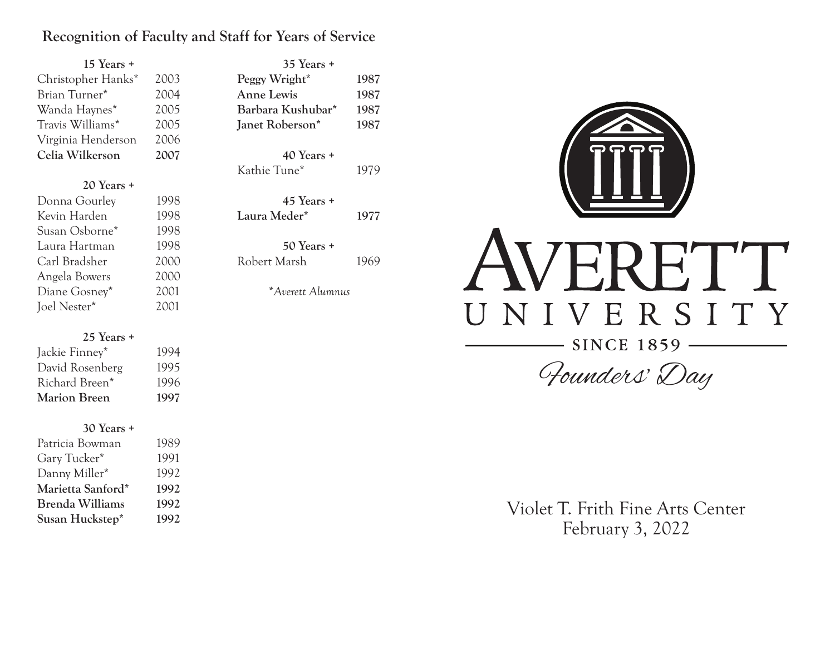## **Recognition of Faculty and Staff for Years of Service**

| 15 Years +         |      |  |
|--------------------|------|--|
| Christopher Hanks* | 2003 |  |
| Brian Turner*      | 2004 |  |
| Wanda Haynes*      | 2005 |  |
| Travis Williams*   | 2005 |  |
| Virginia Henderson | 2006 |  |
| Celia Wilkerson    | 2007 |  |
|                    |      |  |
| $20$ Years $+$     |      |  |
| Donna Gourley      | 1998 |  |
| Kevin Harden       | 1998 |  |
| Susan Osborne*     | 1998 |  |
| Laura Hartman      | 1998 |  |
| Carl Bradsher      | 2000 |  |
| Angela Bowers      | 2000 |  |

#### **25 Years +**

Diane Gosney\* 2001 Joel Nester\* 2001

| Jackie Finney*  | 1994 |
|-----------------|------|
| David Rosenberg | 1995 |
| Richard Breen*  | 1996 |
| Marion Breen    | 1997 |

#### **30 Years +**

| 1991 |
|------|
|      |
| 1992 |
| 1992 |
| 1992 |
|      |
|      |

| $35$ Years $+$                                                                                                         |                      |
|------------------------------------------------------------------------------------------------------------------------|----------------------|
| Peggy Wright*                                                                                                          | 1987                 |
| Anne Lewis                                                                                                             | 1987                 |
| Barbara Kushubar*                                                                                                      | 1987                 |
| Janet Roberson*                                                                                                        | 1987                 |
| $40$ Years $+$<br>Kathie Tune*<br>$45$ Years $+$<br>Laura Meder*<br>$50$ Years $+$<br>Robert Marsh<br>*Averett Alumnus | 1979<br>1977<br>1969 |
|                                                                                                                        |                      |



Founders' Day

Violet T. Frith Fine Arts Center February 3, 2022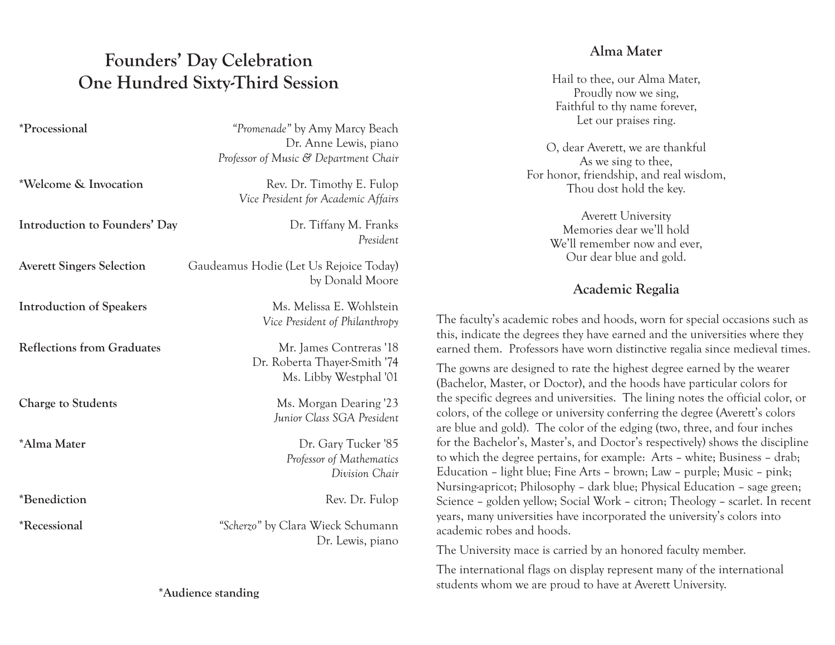## **Founders' Day Celebration One Hundred Sixty-Third Session**

| <i>*Processional</i>              | "Promenade" by Amy Marcy Beach<br>Dr. Anne Lewis, piano<br>Professor of Music & Department Chair |
|-----------------------------------|--------------------------------------------------------------------------------------------------|
| *Welcome & Invocation             | Rev. Dr. Timothy E. Fulop<br>Vice President for Academic Affairs                                 |
| Introduction to Founders' Day     | Dr. Tiffany M. Franks<br>President                                                               |
| <b>Averett Singers Selection</b>  | Gaudeamus Hodie (Let Us Rejoice Today)<br>by Donald Moore                                        |
| <b>Introduction of Speakers</b>   | Ms. Melissa E. Wohlstein<br>Vice President of Philanthropy                                       |
| <b>Reflections from Graduates</b> | Mr. James Contreras '18<br>Dr. Roberta Thayer-Smith '74<br>Ms. Libby Westphal '01                |
| <b>Charge to Students</b>         | Ms. Morgan Dearing '23<br>Junior Class SGA President                                             |
| <i><b>*Alma Mater</b></i>         | Dr. Gary Tucker '85<br>Professor of Mathematics<br>Division Chair                                |
| *Benediction                      | Rev. Dr. Fulop                                                                                   |
| <i><b>*Recessional</b></i>        | "Scherzo" by Clara Wieck Schumann<br>Dr. Lewis, piano                                            |
|                                   |                                                                                                  |

### **Alma Mater**

Hail to thee, our Alma Mater, Proudly now we sing, Faithful to thy name forever, Let our praises ring.

O, dear Averett, we are thankful As we sing to thee, For honor, friendship, and real wisdom, Thou dost hold the key.

> Averett University Memories dear we'll hold We'll remember now and ever, Our dear blue and gold.

## **Academic Regalia**

The faculty's academic robes and hoods, worn for special occasions such as this, indicate the degrees they have earned and the universities where they earned them. Professors have worn distinctive regalia since medieval times.

The gowns are designed to rate the highest degree earned by the wearer (Bachelor, Master, or Doctor), and the hoods have particular colors for the specific degrees and universities. The lining notes the official color, or colors, of the college or university conferring the degree (Averett's colors are blue and gold). The color of the edging (two, three, and four inches for the Bachelor's, Master's, and Doctor's respectively) shows the discipline to which the degree pertains, for example: Arts – white; Business – drab; Education – light blue; Fine Arts – brown; Law – purple; Music – pink; Nursing-apricot; Philosophy – dark blue; Physical Education – sage green; Science – golden yellow; Social Work – citron; Theology – scarlet. In recent years, many universities have incorporated the university's colors into academic robes and hoods.

The University mace is carried by an honored faculty member.

The international flags on display represent many of the international students whom we are proud to have at Averett University.